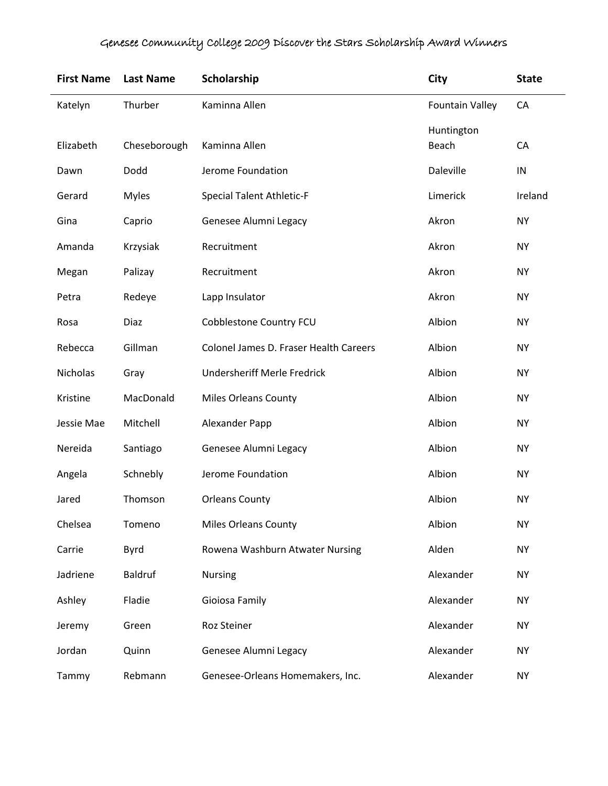| <b>First Name</b> | <b>Last Name</b> | Scholarship                            | <b>City</b>            | <b>State</b> |
|-------------------|------------------|----------------------------------------|------------------------|--------------|
| Katelyn           | Thurber          | Kaminna Allen                          | <b>Fountain Valley</b> | CA           |
| Elizabeth         | Cheseborough     | Kaminna Allen                          | Huntington<br>Beach    | CA           |
| Dawn              | Dodd             | Jerome Foundation                      | Daleville              | IN           |
| Gerard            | <b>Myles</b>     | <b>Special Talent Athletic-F</b>       | Limerick               | Ireland      |
| Gina              | Caprio           | Genesee Alumni Legacy                  | Akron                  | <b>NY</b>    |
| Amanda            | Krzysiak         | Recruitment                            | Akron                  | <b>NY</b>    |
| Megan             | Palizay          | Recruitment                            | Akron                  | <b>NY</b>    |
| Petra             | Redeye           | Lapp Insulator                         | Akron                  | <b>NY</b>    |
| Rosa              | <b>Diaz</b>      | Cobblestone Country FCU                | Albion                 | <b>NY</b>    |
| Rebecca           | Gillman          | Colonel James D. Fraser Health Careers | Albion                 | <b>NY</b>    |
| Nicholas          | Gray             | <b>Undersheriff Merle Fredrick</b>     | Albion                 | <b>NY</b>    |
| Kristine          | MacDonald        | <b>Miles Orleans County</b>            | Albion                 | <b>NY</b>    |
| Jessie Mae        | Mitchell         | Alexander Papp                         | Albion                 | <b>NY</b>    |
| Nereida           | Santiago         | Genesee Alumni Legacy                  | Albion                 | <b>NY</b>    |
| Angela            | Schnebly         | Jerome Foundation                      | Albion                 | <b>NY</b>    |
| Jared             | Thomson          | <b>Orleans County</b>                  | Albion                 | <b>NY</b>    |
| Chelsea           | Tomeno           | <b>Miles Orleans County</b>            | Albion                 | <b>NY</b>    |
| Carrie            | <b>Byrd</b>      | Rowena Washburn Atwater Nursing        | Alden                  | <b>NY</b>    |
| Jadriene          | Baldruf          | <b>Nursing</b>                         | Alexander              | <b>NY</b>    |
| Ashley            | Fladie           | Gioiosa Family                         | Alexander              | <b>NY</b>    |
| Jeremy            | Green            | Roz Steiner                            | Alexander              | <b>NY</b>    |
| Jordan            | Quinn            | Genesee Alumni Legacy                  | Alexander              | <b>NY</b>    |
| Tammy             | Rebmann          | Genesee-Orleans Homemakers, Inc.       | Alexander              | <b>NY</b>    |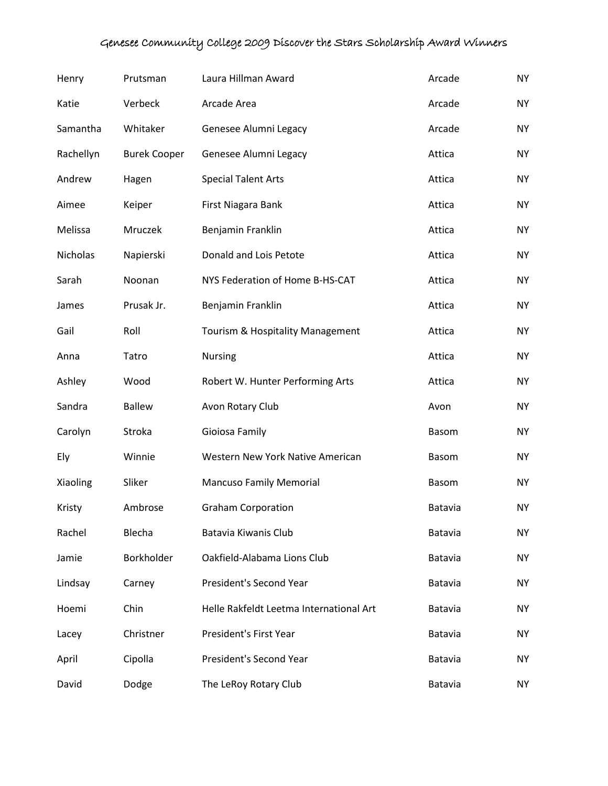| Henry     | Prutsman            | Laura Hillman Award                     | Arcade       | <b>NY</b> |
|-----------|---------------------|-----------------------------------------|--------------|-----------|
| Katie     | Verbeck             | Arcade Area                             | Arcade       | <b>NY</b> |
| Samantha  | Whitaker            | Genesee Alumni Legacy                   | Arcade       | <b>NY</b> |
| Rachellyn | <b>Burek Cooper</b> | Genesee Alumni Legacy                   | Attica       | <b>NY</b> |
| Andrew    | Hagen               | <b>Special Talent Arts</b>              | Attica       | <b>NY</b> |
| Aimee     | Keiper              | First Niagara Bank                      | Attica       | <b>NY</b> |
| Melissa   | Mruczek             | Benjamin Franklin                       | Attica       | <b>NY</b> |
| Nicholas  | Napierski           | Donald and Lois Petote                  | Attica       | <b>NY</b> |
| Sarah     | Noonan              | NYS Federation of Home B-HS-CAT         | Attica       | <b>NY</b> |
| James     | Prusak Jr.          | Benjamin Franklin                       | Attica       | <b>NY</b> |
| Gail      | Roll                | Tourism & Hospitality Management        | Attica       | <b>NY</b> |
| Anna      | Tatro               | <b>Nursing</b>                          | Attica       | <b>NY</b> |
| Ashley    | Wood                | Robert W. Hunter Performing Arts        | Attica       | <b>NY</b> |
| Sandra    | <b>Ballew</b>       | Avon Rotary Club                        | Avon         | <b>NY</b> |
| Carolyn   | Stroka              | Gioiosa Family                          | <b>Basom</b> | <b>NY</b> |
| Ely       | Winnie              | Western New York Native American        | Basom        | <b>NY</b> |
| Xiaoling  | Sliker              | <b>Mancuso Family Memorial</b>          | <b>Basom</b> | <b>NY</b> |
| Kristy    | Ambrose             | <b>Graham Corporation</b>               | Batavia      | <b>NY</b> |
| Rachel    | Blecha              | Batavia Kiwanis Club                    | Batavia      | <b>NY</b> |
| Jamie     | Borkholder          | Oakfield-Alabama Lions Club             | Batavia      | <b>NY</b> |
| Lindsay   | Carney              | President's Second Year                 | Batavia      | <b>NY</b> |
| Hoemi     | Chin                | Helle Rakfeldt Leetma International Art | Batavia      | <b>NY</b> |
| Lacey     | Christner           | President's First Year                  | Batavia      | <b>NY</b> |
| April     | Cipolla             | President's Second Year                 | Batavia      | <b>NY</b> |
| David     | Dodge               | The LeRoy Rotary Club                   | Batavia      | NY.       |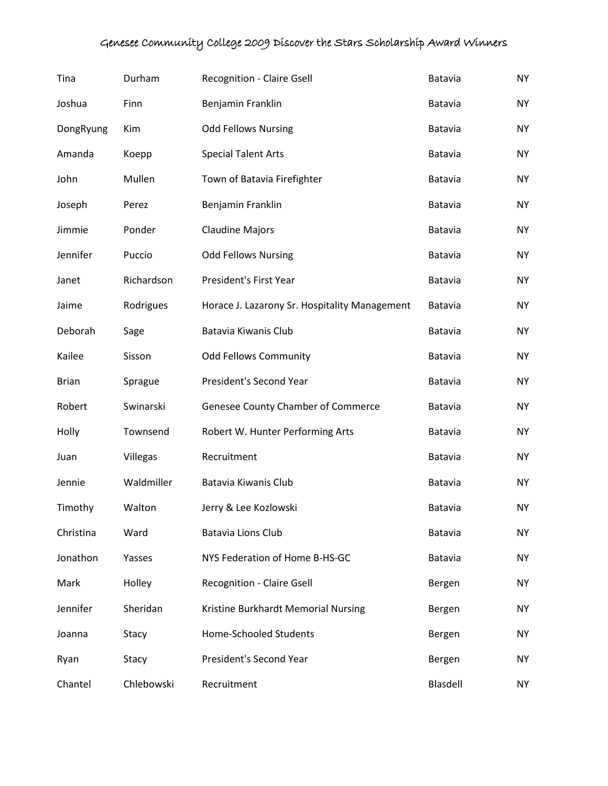| Tina         | Durham     | <b>Recognition - Claire Gsell</b>             | Batavia  | <b>NY</b> |
|--------------|------------|-----------------------------------------------|----------|-----------|
| Joshua       | Finn       | Benjamin Franklin                             | Batavia  | <b>NY</b> |
| DongRyung    | Kim        | <b>Odd Fellows Nursing</b>                    | Batavia  | <b>NY</b> |
| Amanda       | Koepp      | <b>Special Talent Arts</b>                    | Batavia  | <b>NY</b> |
| John         | Mullen     | Town of Batavia Firefighter                   | Batavia  | <b>NY</b> |
| Joseph       | Perez      | Benjamin Franklin                             | Batavia  | <b>NY</b> |
| Jimmie       | Ponder     | <b>Claudine Majors</b>                        | Batavia  | <b>NY</b> |
| Jennifer     | Puccio     | <b>Odd Fellows Nursing</b>                    | Batavia  | <b>NY</b> |
| Janet        | Richardson | President's First Year                        | Batavia  | <b>NY</b> |
| Jaime        | Rodrigues  | Horace J. Lazarony Sr. Hospitality Management | Batavia  | <b>NY</b> |
| Deborah      | Sage       | Batavia Kiwanis Club                          | Batavia  | <b>NY</b> |
| Kailee       | Sisson     | <b>Odd Fellows Community</b>                  | Batavia  | <b>NY</b> |
| <b>Brian</b> | Sprague    | President's Second Year                       | Batavia  | <b>NY</b> |
| Robert       | Swinarski  | Genesee County Chamber of Commerce            | Batavia  | <b>NY</b> |
| Holly        | Townsend   | Robert W. Hunter Performing Arts              | Batavia  | <b>NY</b> |
| Juan         | Villegas   | Recruitment                                   | Batavia  | <b>NY</b> |
| Jennie       | Waldmiller | Batavia Kiwanis Club                          | Batavia  | <b>NY</b> |
| Timothy      | Walton     | Jerry & Lee Kozlowski                         | Batavia  | <b>NY</b> |
| Christina    | Ward       | <b>Batavia Lions Club</b>                     | Batavia  | <b>NY</b> |
| Jonathon     | Yasses     | NYS Federation of Home B-HS-GC                | Batavia  | <b>NY</b> |
| Mark         | Holley     | <b>Recognition - Claire Gsell</b>             | Bergen   | <b>NY</b> |
| Jennifer     | Sheridan   | Kristine Burkhardt Memorial Nursing           | Bergen   | <b>NY</b> |
| Joanna       | Stacy      | <b>Home-Schooled Students</b>                 | Bergen   | <b>NY</b> |
| Ryan         | Stacy      | President's Second Year                       | Bergen   | <b>NY</b> |
| Chantel      | Chlebowski | Recruitment                                   | Blasdell | NY.       |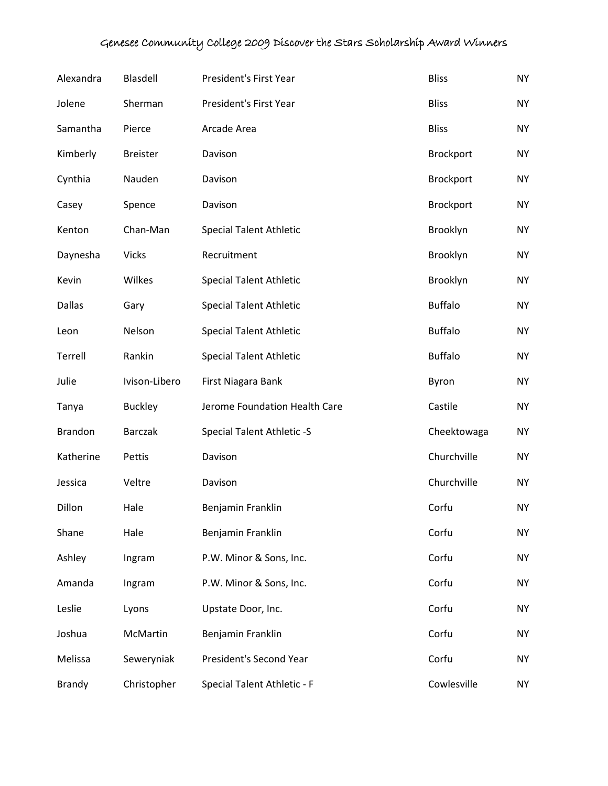| Alexandra      | Blasdell        | President's First Year         | <b>Bliss</b>   | <b>NY</b> |
|----------------|-----------------|--------------------------------|----------------|-----------|
| Jolene         | Sherman         | President's First Year         | <b>Bliss</b>   | <b>NY</b> |
| Samantha       | Pierce          | Arcade Area                    | <b>Bliss</b>   | <b>NY</b> |
| Kimberly       | <b>Breister</b> | Davison                        | Brockport      | <b>NY</b> |
| Cynthia        | Nauden          | Davison                        | Brockport      | <b>NY</b> |
| Casey          | Spence          | Davison                        | Brockport      | <b>NY</b> |
| Kenton         | Chan-Man        | <b>Special Talent Athletic</b> | Brooklyn       | <b>NY</b> |
| Daynesha       | <b>Vicks</b>    | Recruitment                    | Brooklyn       | <b>NY</b> |
| Kevin          | Wilkes          | <b>Special Talent Athletic</b> | Brooklyn       | <b>NY</b> |
| <b>Dallas</b>  | Gary            | <b>Special Talent Athletic</b> | <b>Buffalo</b> | <b>NY</b> |
| Leon           | Nelson          | <b>Special Talent Athletic</b> | <b>Buffalo</b> | <b>NY</b> |
| Terrell        | Rankin          | <b>Special Talent Athletic</b> | <b>Buffalo</b> | <b>NY</b> |
| Julie          | Ivison-Libero   | First Niagara Bank             | Byron          | <b>NY</b> |
| Tanya          | <b>Buckley</b>  | Jerome Foundation Health Care  | Castile        | <b>NY</b> |
| <b>Brandon</b> | <b>Barczak</b>  | Special Talent Athletic -S     | Cheektowaga    | <b>NY</b> |
| Katherine      | Pettis          | Davison                        | Churchville    | <b>NY</b> |
| Jessica        | Veltre          | Davison                        | Churchville    | <b>NY</b> |
| Dillon         | Hale            | Benjamin Franklin              | Corfu          | <b>NY</b> |
| Shane          | Hale            | Benjamin Franklin              | Corfu          | <b>NY</b> |
| Ashley         | Ingram          | P.W. Minor & Sons, Inc.        | Corfu          | <b>NY</b> |
| Amanda         | Ingram          | P.W. Minor & Sons, Inc.        | Corfu          | <b>NY</b> |
| Leslie         | Lyons           | Upstate Door, Inc.             | Corfu          | <b>NY</b> |
| Joshua         | McMartin        | Benjamin Franklin              | Corfu          | <b>NY</b> |
| Melissa        | Seweryniak      | President's Second Year        | Corfu          | <b>NY</b> |
| <b>Brandy</b>  | Christopher     | Special Talent Athletic - F    | Cowlesville    | <b>NY</b> |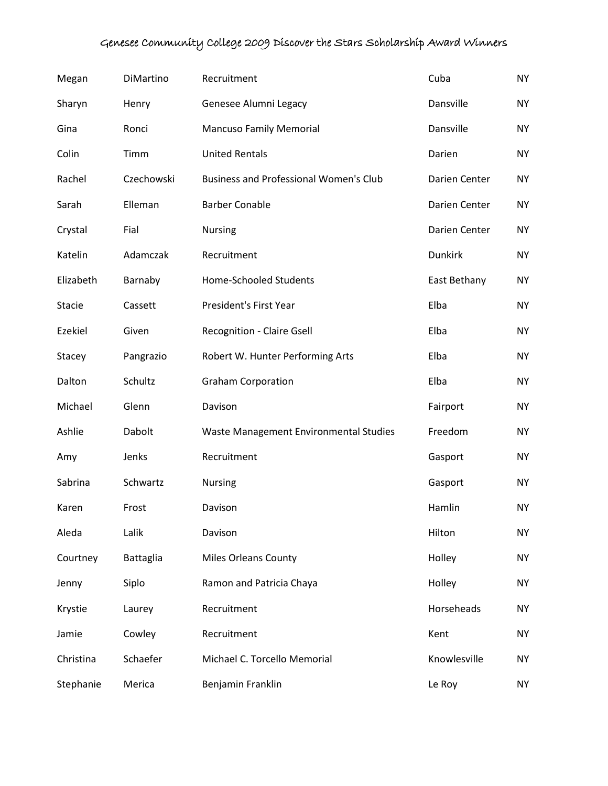| Megan         | DiMartino  | Recruitment                                   | Cuba           | <b>NY</b> |
|---------------|------------|-----------------------------------------------|----------------|-----------|
| Sharyn        | Henry      | Genesee Alumni Legacy                         | Dansville      | <b>NY</b> |
| Gina          | Ronci      | <b>Mancuso Family Memorial</b>                | Dansville      | <b>NY</b> |
| Colin         | Timm       | <b>United Rentals</b>                         | Darien         | <b>NY</b> |
| Rachel        | Czechowski | <b>Business and Professional Women's Club</b> | Darien Center  | <b>NY</b> |
| Sarah         | Elleman    | <b>Barber Conable</b>                         | Darien Center  | <b>NY</b> |
| Crystal       | Fial       | <b>Nursing</b>                                | Darien Center  | <b>NY</b> |
| Katelin       | Adamczak   | Recruitment                                   | <b>Dunkirk</b> | <b>NY</b> |
| Elizabeth     | Barnaby    | <b>Home-Schooled Students</b>                 | East Bethany   | <b>NY</b> |
| <b>Stacie</b> | Cassett    | President's First Year                        | Elba           | <b>NY</b> |
| Ezekiel       | Given      | <b>Recognition - Claire Gsell</b>             | Elba           | <b>NY</b> |
| Stacey        | Pangrazio  | Robert W. Hunter Performing Arts              | Elba           | <b>NY</b> |
| Dalton        | Schultz    | <b>Graham Corporation</b>                     | Elba           | <b>NY</b> |
| Michael       | Glenn      | Davison                                       | Fairport       | <b>NY</b> |
| Ashlie        | Dabolt     | Waste Management Environmental Studies        | Freedom        | <b>NY</b> |
| Amy           | Jenks      | Recruitment                                   | Gasport        | <b>NY</b> |
| Sabrina       | Schwartz   | <b>Nursing</b>                                | Gasport        | <b>NY</b> |
| Karen         | Frost      | Davison                                       | Hamlin         | <b>NY</b> |
| Aleda         | Lalik      | Davison                                       | Hilton         | <b>NY</b> |
| Courtney      | Battaglia  | <b>Miles Orleans County</b>                   | Holley         | <b>NY</b> |
| Jenny         | Siplo      | Ramon and Patricia Chaya                      | Holley         | <b>NY</b> |
| Krystie       | Laurey     | Recruitment                                   | Horseheads     | <b>NY</b> |
| Jamie         | Cowley     | Recruitment                                   | Kent           | <b>NY</b> |
| Christina     | Schaefer   | Michael C. Torcello Memorial                  | Knowlesville   | <b>NY</b> |
| Stephanie     | Merica     | Benjamin Franklin                             | Le Roy         | <b>NY</b> |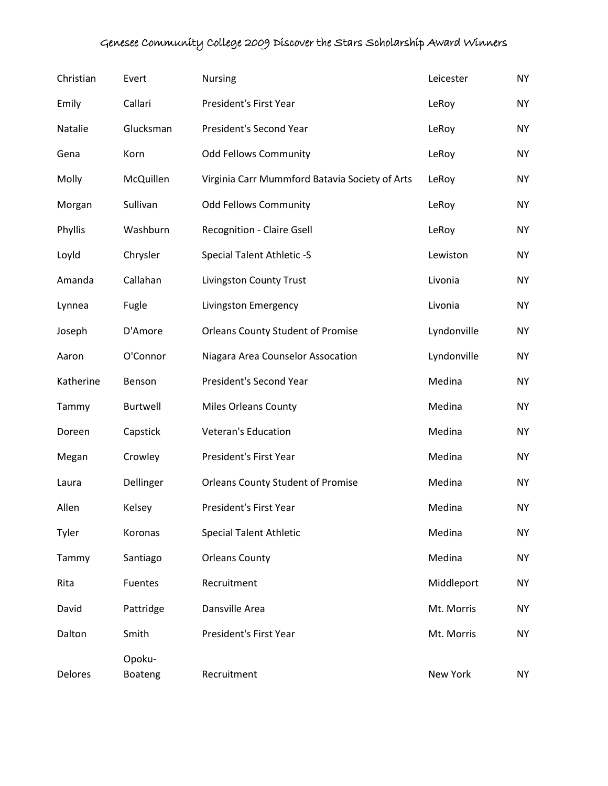| Christian | Evert             | <b>Nursing</b>                                 | Leicester   | <b>NY</b> |
|-----------|-------------------|------------------------------------------------|-------------|-----------|
| Emily     | Callari           | President's First Year                         | LeRoy       | <b>NY</b> |
| Natalie   | Glucksman         | President's Second Year                        | LeRoy       | <b>NY</b> |
| Gena      | Korn              | <b>Odd Fellows Community</b>                   | LeRoy       | <b>NY</b> |
| Molly     | McQuillen         | Virginia Carr Mummford Batavia Society of Arts | LeRoy       | <b>NY</b> |
| Morgan    | Sullivan          | <b>Odd Fellows Community</b>                   | LeRoy       | <b>NY</b> |
| Phyllis   | Washburn          | <b>Recognition - Claire Gsell</b>              | LeRoy       | <b>NY</b> |
| Loyld     | Chrysler          | Special Talent Athletic -S                     | Lewiston    | <b>NY</b> |
| Amanda    | Callahan          | Livingston County Trust                        | Livonia     | <b>NY</b> |
| Lynnea    | Fugle             | Livingston Emergency                           | Livonia     | <b>NY</b> |
| Joseph    | D'Amore           | <b>Orleans County Student of Promise</b>       | Lyndonville | <b>NY</b> |
| Aaron     | O'Connor          | Niagara Area Counselor Assocation              | Lyndonville | <b>NY</b> |
| Katherine | Benson            | President's Second Year                        | Medina      | <b>NY</b> |
| Tammy     | Burtwell          | <b>Miles Orleans County</b>                    | Medina      | <b>NY</b> |
| Doreen    | Capstick          | Veteran's Education                            | Medina      | <b>NY</b> |
| Megan     | Crowley           | President's First Year                         | Medina      | <b>NY</b> |
| Laura     | Dellinger         | <b>Orleans County Student of Promise</b>       | Medina      | <b>NY</b> |
| Allen     | Kelsey            | President's First Year                         | Medina      | <b>NY</b> |
| Tyler     | Koronas           | <b>Special Talent Athletic</b>                 | Medina      | <b>NY</b> |
| Tammy     | Santiago          | <b>Orleans County</b>                          | Medina      | <b>NY</b> |
| Rita      | <b>Fuentes</b>    | Recruitment                                    | Middleport  | <b>NY</b> |
| David     | Pattridge         | Dansville Area                                 | Mt. Morris  | <b>NY</b> |
| Dalton    | Smith             | President's First Year                         | Mt. Morris  | <b>NY</b> |
| Delores   | Opoku-<br>Boateng | Recruitment                                    | New York    | <b>NY</b> |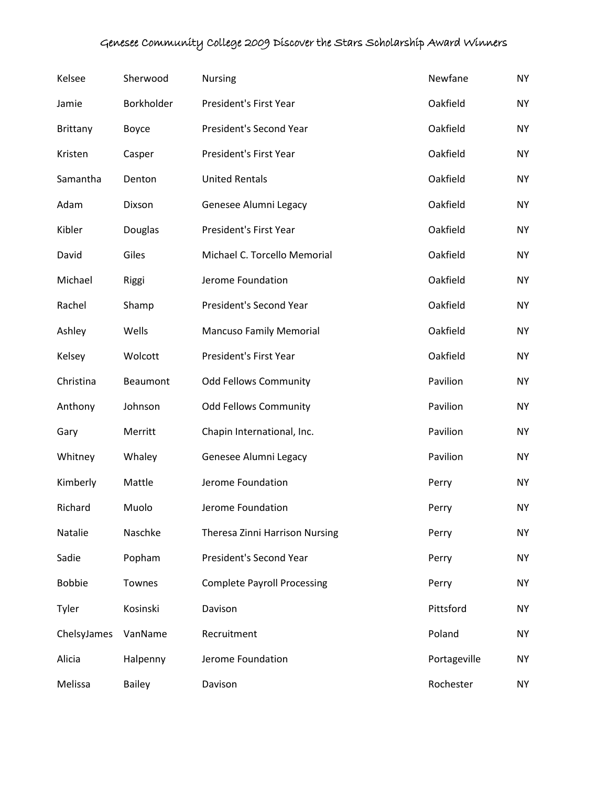| Kelsee          | Sherwood      | Nursing                            | Newfane      | <b>NY</b> |
|-----------------|---------------|------------------------------------|--------------|-----------|
| Jamie           | Borkholder    | President's First Year             | Oakfield     | <b>NY</b> |
| <b>Brittany</b> | Boyce         | President's Second Year            | Oakfield     | <b>NY</b> |
| Kristen         | Casper        | President's First Year             | Oakfield     | <b>NY</b> |
| Samantha        | Denton        | <b>United Rentals</b>              | Oakfield     | <b>NY</b> |
| Adam            | Dixson        | Genesee Alumni Legacy              | Oakfield     | <b>NY</b> |
| Kibler          | Douglas       | President's First Year             | Oakfield     | <b>NY</b> |
| David           | Giles         | Michael C. Torcello Memorial       | Oakfield     | <b>NY</b> |
| Michael         | Riggi         | Jerome Foundation                  | Oakfield     | <b>NY</b> |
| Rachel          | Shamp         | President's Second Year            | Oakfield     | <b>NY</b> |
| Ashley          | Wells         | <b>Mancuso Family Memorial</b>     | Oakfield     | <b>NY</b> |
| Kelsey          | Wolcott       | President's First Year             | Oakfield     | <b>NY</b> |
| Christina       | Beaumont      | <b>Odd Fellows Community</b>       | Pavilion     | <b>NY</b> |
| Anthony         | Johnson       | <b>Odd Fellows Community</b>       | Pavilion     | <b>NY</b> |
| Gary            | Merritt       | Chapin International, Inc.         | Pavilion     | <b>NY</b> |
| Whitney         | Whaley        | Genesee Alumni Legacy              | Pavilion     | <b>NY</b> |
| Kimberly        | Mattle        | Jerome Foundation                  | Perry        | <b>NY</b> |
| Richard         | Muolo         | Jerome Foundation                  | Perry        | <b>NY</b> |
| Natalie         | Naschke       | Theresa Zinni Harrison Nursing     | Perry        | <b>NY</b> |
| Sadie           | Popham        | President's Second Year            | Perry        | <b>NY</b> |
| <b>Bobbie</b>   | Townes        | <b>Complete Payroll Processing</b> | Perry        | <b>NY</b> |
| Tyler           | Kosinski      | Davison                            | Pittsford    | <b>NY</b> |
| ChelsyJames     | VanName       | Recruitment                        | Poland       | <b>NY</b> |
| Alicia          | Halpenny      | Jerome Foundation                  | Portageville | <b>NY</b> |
| Melissa         | <b>Bailey</b> | Davison                            | Rochester    | NY.       |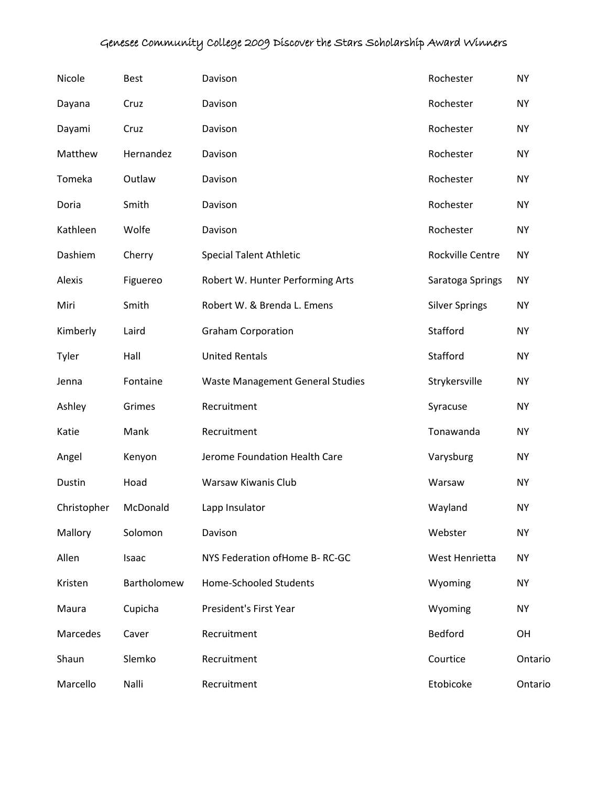| Nicole      | <b>Best</b> | Davison                                 | Rochester             | <b>NY</b> |
|-------------|-------------|-----------------------------------------|-----------------------|-----------|
| Dayana      | Cruz        | Davison                                 | Rochester             | <b>NY</b> |
| Dayami      | Cruz        | Davison                                 | Rochester             | <b>NY</b> |
| Matthew     | Hernandez   | Davison                                 | Rochester             | <b>NY</b> |
| Tomeka      | Outlaw      | Davison                                 | Rochester             | <b>NY</b> |
| Doria       | Smith       | Davison                                 | Rochester             | <b>NY</b> |
| Kathleen    | Wolfe       | Davison                                 | Rochester             | <b>NY</b> |
| Dashiem     | Cherry      | <b>Special Talent Athletic</b>          | Rockville Centre      | <b>NY</b> |
| Alexis      | Figuereo    | Robert W. Hunter Performing Arts        | Saratoga Springs      | <b>NY</b> |
| Miri        | Smith       | Robert W. & Brenda L. Emens             | <b>Silver Springs</b> | <b>NY</b> |
| Kimberly    | Laird       | <b>Graham Corporation</b>               | Stafford              | <b>NY</b> |
| Tyler       | Hall        | <b>United Rentals</b>                   | Stafford              | <b>NY</b> |
| Jenna       | Fontaine    | <b>Waste Management General Studies</b> | Strykersville         | <b>NY</b> |
| Ashley      | Grimes      | Recruitment                             | Syracuse              | <b>NY</b> |
| Katie       | Mank        | Recruitment                             | Tonawanda             | <b>NY</b> |
| Angel       | Kenyon      | Jerome Foundation Health Care           | Varysburg             | <b>NY</b> |
| Dustin      | Hoad        | Warsaw Kiwanis Club                     | Warsaw                | <b>NY</b> |
| Christopher | McDonald    | Lapp Insulator                          | Wayland               | <b>NY</b> |
| Mallory     | Solomon     | Davison                                 | Webster               | <b>NY</b> |
| Allen       | Isaac       | NYS Federation of Home B-RC-GC          | West Henrietta        | <b>NY</b> |
| Kristen     | Bartholomew | <b>Home-Schooled Students</b>           | Wyoming               | NY        |
| Maura       | Cupicha     | President's First Year                  | Wyoming               | NY        |
| Marcedes    | Caver       | Recruitment                             | Bedford               | OH        |
| Shaun       | Slemko      | Recruitment                             | Courtice              | Ontario   |
| Marcello    | Nalli       | Recruitment                             | Etobicoke             | Ontario   |